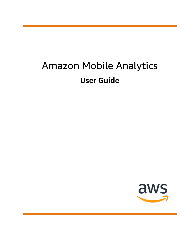# Amazon Mobile Analytics **User Guide**

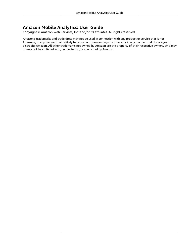### **Amazon Mobile Analytics: User Guide**

Copyright © Amazon Web Services, Inc. and/or its affiliates. All rights reserved.

Amazon's trademarks and trade dress may not be used in connection with any product or service that is not Amazon's, in any manner that is likely to cause confusion among customers, or in any manner that disparages or discredits Amazon. All other trademarks not owned by Amazon are the property of their respective owners, who may or may not be affiliated with, connected to, or sponsored by Amazon.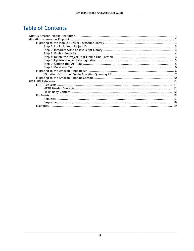# **Table of Contents**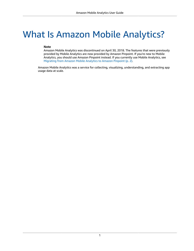# <span id="page-3-0"></span>What Is Amazon Mobile Analytics?

### **Note**

Amazon Mobile Analytics was discontinued on April 30, 2018. The features that were previously provided by Mobile Analytics are now provided by Amazon Pinpoint. If you're new to Mobile Analytics, you should use Amazon Pinpoint instead. If you currently use Mobile Analytics, see [Migrating](#page-4-0) from Amazon Mobile Analytics to Amazon Pinpoint [\(p. 2\)](#page-4-0).

Amazon Mobile Analytics was a service for collecting, visualizing, understanding, and extracting app usage data at scale.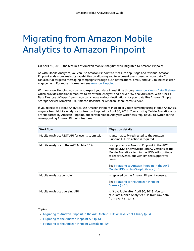# <span id="page-4-0"></span>Migrating from Amazon Mobile Analytics to Amazon Pinpoint

On April 30, 2018, the features of Amazon Mobile Analytics were migrated to Amazon Pinpoint.

As with Mobile Analytics, you can use Amazon Pinpoint to measure app usage and revenue. Amazon Pinpoint adds more analytics capabilities by allowing you to segment users based on your data. You can also run targeted messaging campaigns through push notifications, email, and SMS to increase user engagement. For more information, see Amazon [Pinpoint.](https://aws.amazon.com/pinpoint/)

With Amazon Pinpoint, you can also export your data in real time through Amazon Kinesis Data [Firehose](https://aws.amazon.com/kinesis), which provides additional features to transform, encrypt, and deliver raw analytics data. With Kinesis Data Firehose *delivery streams*, you can choose various destinations for your data like Amazon Simple Storage Service (Amazon S3), Amazon Redshift, or Amazon OpenSearch Service.

If you're new to Mobile Analytics, use Amazon Pinpoint instead. If you're currently using Mobile Analytics, migrate from Mobile Analytics to Amazon Pinpoint by April 30, 2018. Your existing Mobile Analytics apps are supported by Amazon Pinpoint, but certain Mobile Analytics workflows require you to switch to the corresponding Amazon Pinpoint features:

| <b>Workflow</b>                                 | <b>Migration details</b>                                                                                                                                                                                                                                                                                        |
|-------------------------------------------------|-----------------------------------------------------------------------------------------------------------------------------------------------------------------------------------------------------------------------------------------------------------------------------------------------------------------|
| Mobile Analytics REST API for events submission | Is automatically redirected to the Amazon<br>Pinpoint API. No action is required.                                                                                                                                                                                                                               |
| Mobile Analytics in the AWS Mobile SDKs.        | Is supported via Amazon Pinpoint in the AWS<br>Mobile SDKs or JavaScript library. Versions of the<br>Mobile Analytics client in the SDKs will continue<br>to report events, but with limited support for<br>issues.<br>See Migrating to Amazon Pinpoint in the AWS<br>Mobile SDKs or JavaScript Library (p. 3). |
| Mobile Analytics console                        | Is replaced by the Amazon Pinpoint console.<br>See Migrating to the Amazon Pinpoint<br>Console (p. 10).                                                                                                                                                                                                         |
| Mobile Analytics querying API                   | Isn't available after April 30, 2018. You can<br>calculate Mobile Analytics KPIs from raw data<br>from event streams.                                                                                                                                                                                           |

### **Topics**

- Migrating to Amazon Pinpoint in the AWS Mobile SDKs or JavaScript [Library \(p. 3\)](#page-5-0)
- [Migrating](#page-8-1) to the Amazon Pinpoint API (p. 6)
- Migrating to the Amazon Pinpoint [Console \(p. 10\)](#page-12-0)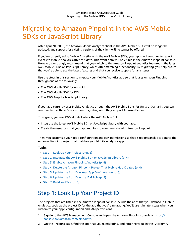# <span id="page-5-0"></span>Migrating to Amazon Pinpoint in the AWS Mobile SDKs or JavaScript Library

After April 30, 2018, the Amazon Mobile Analytics client in the AWS Mobile SDKs will no longer be updated, and support for existing versions of the client will no longer be offered.

If you're currently using Mobile Analytics with the AWS Mobile SDKs, your apps will continue to report events to Mobile Analytics after this date. This event data will be visible in the Amazon Pinpoint console. However, we strongly recommend that you switch to the Amazon Pinpoint analytics features in the latest AWS Mobile SDKs or JavaScript library, which offer matching functionality. By migrating, you help ensure that you're able to use the latest features and that you receive support for any issues.

Use the steps in this section to migrate your Mobile Analytics app so that it uses Amazon Pinpoint through one of the following:

- The AWS Mobile SDK for Android
- The AWS Mobile SDK for iOS
- The AWS Amplify JavaScript library

If your app currently uses Mobile Analytics through the AWS Mobile SDKs for Unity or Xamarin, you can continue to use these SDKs without migrating until they support Amazon Pinpoint.

To migrate, you use AWS Mobile Hub or the AWS Mobile CLI to:

- Integrate the latest AWS Mobile SDK or JavaScript library with your app.
- Create the resources that your app requires to communicate with Amazon Pinpoint.

Then, you customize your app's configuration and IAM permissions so that it reports analytics data to the Amazon Pinpoint project that matches your Mobile Analytics app.

#### **Topics**

- Step 1: Look Up Your Project [ID \(p. 3\)](#page-5-1)
- Step 2: Integrate the AWS Mobile SDK or JavaScript [Library \(p. 4\)](#page-6-0)
- Step 3: Enable Amazon Pinpoint [Analytics \(p. 4\)](#page-6-1)
- Step 4: Delete the Amazon Pinpoint Project That Mobile Hub [Created \(p. 4\)](#page-6-2)
- Step 5: Update the App ID in Your App [Configuration \(p. 5\)](#page-7-0)
- Step 6: Update the App ID in the IAM [Role \(p. 5\)](#page-7-1)
- Step 7: Build and [Test \(p. 6\)](#page-8-0)

## <span id="page-5-1"></span>Step 1: Look Up Your Project ID

The projects that are listed in the Amazon Pinpoint console include the apps that you defined in Mobile Analytics. Look up the project ID for the app that you're migrating. You'll use it in later steps when you customize your app's configuration and IAM permissions.

- 1. Sign in to the AWS Management Console and open the Amazon Pinpoint console at [https://](https://console.aws.amazon.com/pinpoint/) [console.aws.amazon.com/pinpoint/](https://console.aws.amazon.com/pinpoint/).
- 2. On the **Projects** page, find the app that you're migrating, and note the value in the **ID** column.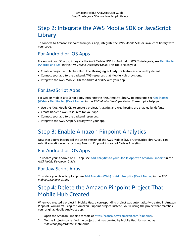# <span id="page-6-0"></span>Step 2: Integrate the AWS Mobile SDK or JavaScript Library

To connect to Amazon Pinpoint from your app, integrate the AWS Mobile SDK or JavaScript library with your code.

### For Android or iOS Apps

For Android or iOS apps, integrate the AWS Mobile SDK for Android or iOS. To integrate, see Get [Started](https://docs.aws.amazon.com/aws-mobile/latest/developerguide/getting-started.html) [\(Android](https://docs.aws.amazon.com/aws-mobile/latest/developerguide/getting-started.html) and iOS) in the *AWS Mobile Developer Guide*. This topic helps you:

- Create a project with Mobile Hub. The **Messaging & Analytics** feature is enabled by default.
- Connect your app to the backend AWS resources that Mobile Hub provisions.
- Integrate the AWS Mobile SDK for Android or iOS with your app.

### For JavaScript Apps

For web or mobile JavaScript apps, integrate the AWS Amplify library. To integrate, see Get [Started](https://docs.aws.amazon.com/aws-mobile/latest/developerguide/web-getting-started.html) [\(Web\)](https://docs.aws.amazon.com/aws-mobile/latest/developerguide/web-getting-started.html) or Get [Started](https://docs.aws.amazon.com/aws-mobile/latest/developerguide/react-native-getting-started.html) (React Native) in the *AWS Mobile Developer Guide*. These topics help you:

- Use the AWS Mobile CLI to create a project. Analytics and web hosting are enabled by default.
- Create backend AWS resources for your app.
- Connect your app to the backend resources.
- Integrate the AWS Amplify library with your app.

## <span id="page-6-1"></span>Step 3: Enable Amazon Pinpoint Analytics

Now that you've integrated the latest version of the AWS Mobile SDK or JavaScript library, you can submit analytics events by using Amazon Pinpoint instead of Mobile Analytics.

### For Android or iOS Apps

To update your Android or iOS app, see Add [Analytics](https://docs.aws.amazon.com/aws-mobile/latest/developerguide/add-aws-mobile-analytics.html) to your Mobile App with Amazon Pinpoint in the *AWS Mobile Developer Guide*.

### For JavaScript Apps

To update your JavaScript app, see Add [Analytics](https://docs.aws.amazon.com/aws-mobile/latest/developerguide/web-add-analytics.html) (Web) or Add [Analytics](https://docs.aws.amazon.com/aws-mobile/latest/developerguide/react-native-add-analytics.html) (React Native) in the *AWS Mobile Developer Guide*.

# <span id="page-6-2"></span>Step 4: Delete the Amazon Pinpoint Project That Mobile Hub Created

When you created a project in Mobile Hub, a corresponding project was automatically created in Amazon Pinpoint. You aren't using this Amazon Pinpoint project. Instead, you're using the project that matches your original Mobile Analytics app.

- 1. Open the Amazon Pinpoint console at [https://console.aws.amazon.com/pinpoint/.](https://console.aws.amazon.com/pinpoint/)
- 2. On the **Projects** page, find the project that was created by Mobile Hub. It's named as *mobilehubprojectname*\_MobileHub.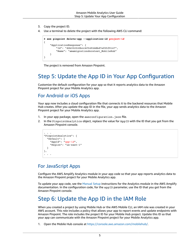- 3. Copy the project ID.
- 4. Use a terminal to delete the project with the following AWS CLI command:

```
$ aws pinpoint delete-app --application-id project-id
{
     "ApplicationResponse": {
         "Id": "d2b352520bcc4f5492ddbd7ef05f9147",
         "Name": "amamigrationdocstest_MobileHub"
     }
}
```
The project is removed from Amazon Pinpoint.

# <span id="page-7-0"></span>Step 5: Update the App ID in Your App Configuration

Customize the default configuration for your app so that it reports analytics data to the Amazon Pinpoint project for your Mobile Analytics app.

### For Android or iOS Apps

Your app now includes a cloud configuration file that connects it to the backend resources that Mobile Hub creates. After you update the app ID in the file, your app sends analytics data to the Amazon Pinpoint project for your Mobile Analytics app.

- 1. In your app package, open the awsconfiguration.json file.
- 2. In the PinpointAnalytics object, replace the value for AppID with the ID that you got from the Amazon Pinpoint console.

```
. . .
"PinpointAnalytics": {
   "Default": {
     "AppId": "app-id",
      "Region": "us-east-1"
   }
},
 \ddot{\phantom{a}}
```
### For JavaScript Apps

Configure the AWS Amplify Analytics module in your app code so that your app reports analytics data to the Amazon Pinpoint project for your Mobile Analytics app.

To update your app code, see the [Manual Setup](https://aws.github.io/aws-amplify/media/analytics_guide#manual-setup) instructions for the Analytics module in the AWS Amplify documentation. In the configuration code, for the appID parameter, use the ID that you got from the Amazon Pinpoint console.

# <span id="page-7-1"></span>Step 6: Update the App ID in the IAM Role

When you created a project by using Mobile Hub or the AWS Mobile CLI, an IAM role was created in your AWS account. This role includes a policy that allows your app to report events and update endpoints with Amazon Pinpoint. The role includes the project ID for your Mobile Hub project. Update this ID so that your app can communicate with the Amazon Pinpoint project for your Mobile Analytics app.

1. Open the Mobile Hub console at <https://console.aws.amazon.com/mobilehub/>.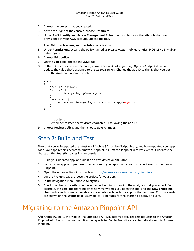- 2. Choose the project that you created.
- 3. At the top-right of the console, choose **Resources**.
- 4. Under **AWS Identity and Access Management Roles**, the console shows the IAM role that was provisioned in your AWS account. Choose the role.

The IAM console opens, and the **Roles** page is shown.

- 5. Under **Permissions**, expand the policy named as *project-name*\_mobileanalytics\_MOBILEHUB\_*mobilehub-project-id*.
- 6. Choose **Edit policy**.
- 7. On the **Edit** page, choose the **JSON** tab.
- 8. In the JSON editor, where the policy allows the mobiletargeting: UpdateEndpoint action, update the value that's assigned to the Resource key. Change the app ID to the ID that you got from the Amazon Pinpoint console.

```
. . .
{
     "Effect": "Allow",
     "Action": [
         "mobiletargeting:UpdateEndpoint"
     ],
     "Resource": [
          "arn:aws:mobiletargeting:*:123456789012:apps/app-id*"
     ]
}
 . . .
```
### **Important**

Remember to keep the wildcard character (\*) following the app ID.

9. Choose **Review policy**, and then choose **Save changes**.

## <span id="page-8-0"></span>Step 7: Build and Test

Now that you've integrated the latest AWS Mobile SDK or JavaScript library, and have updated your app code, your app reports events to Amazon Pinpoint. As Amazon Pinpoint receives events, it updates the charts on the **Analytics** pages in the console.

- 1. Build your updated app, and run it on a test device or emulator.
- 2. Launch your app, and perform other actions in your app that cause it to report events to Amazon Pinpoint.
- 3. Open the Amazon Pinpoint console at [https://console.aws.amazon.com/pinpoint/.](https://console.aws.amazon.com/pinpoint/)
- 4. On the **Projects** page, choose the project for your app.
- 5. In the navigation menu, choose **Analytics**.
- 6. Check the charts to verify whether Amazon Pinpoint is showing the analytics that you expect. For example, the **Sessions** chart indicates how many times you open the app, and the **New endpoints** chart indicates how many test devices or emulators launch the app for the first time. Custom events are shown on the **Events** page. Allow up to 15 minutes for the charts to display an event.

# <span id="page-8-1"></span>Migrating to the Amazon Pinpoint API

After April 30, 2018, the Mobile Analytics REST API will automatically redirect requests to the Amazon Pinpoint API. Events that your application reports to Mobile Analytics are automatically sent to Amazon Pinpoint.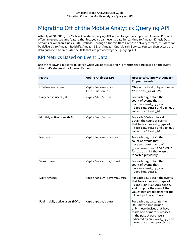# <span id="page-9-0"></span>Migrating Off of the Mobile Analytics Querying API

After April 30, 2018, the Mobile Analytics Querying API will no longer be supported. Amazon Pinpoint offers an event streams feature that lets you stream events data in real time to Amazon Kinesis Data Streams or Amazon Kinesis Data Firehose. Through a Kinesis Data Firehose delivery stream, this data can be delivered to Amazon Redshift, Amazon S3, or Amazon OpenSearch Service. You can then access the data and use it to calculate the KPIs that are provided by the Querying API.

### KPI Metrics Based on Event Data

Use the following table for guidance when you're calculating KPI metrics that are based on the event data that's streamed by Amazon Pinpoint.

| <b>Metric</b>                    | <b>Mobile Analytics KPI</b>        | <b>How to calculate with Amazon</b><br><b>Pinpoint events</b>                                                                                                                                                 |
|----------------------------------|------------------------------------|---------------------------------------------------------------------------------------------------------------------------------------------------------------------------------------------------------------|
| Lifetime user count              | /kpis/new-users/<br>lifetime-count | Obtain the total unique number<br>of client id values.                                                                                                                                                        |
| Daily active users (DAU)         | /kpis/dau/count                    | For each day, obtain the<br>count of events that<br>have an event_type of<br>_session.start and a unique<br>value for client_id.                                                                              |
| Monthly active users (MAU)       | /kpis/mau/count                    | For each 30-day interval,<br>obtain the count of events<br>that have an event_type of<br>_session.start and a unique<br>value for client_id.                                                                  |
| New users                        | /kpis/new-users/count              | For each day, obtain the<br>count of events that<br>have an event_type of<br>session.start and a value<br>for client_id that wasn't<br>reported previously.                                                   |
| Session count                    | /kpis/sessions/count               | For each day, obtain the<br>count of events that<br>have an event_type of<br>_session.start.                                                                                                                  |
| Daily revenue                    | /kpis/daily-revenue/sum            | For each day, obtain the events<br>that have an event_type of<br>monetization.purchase,<br>and compute the sum of the<br>values that are reported for the<br>_item_price attribute.                           |
| Paying daily active users (PDAU) | /kpis/pdau/count                   | For each day, calculate the<br>DAU metric, but include<br>only those devices that have<br>made one or more purchases<br>in the past. A purchase is<br>indicated by an event_type of<br>monetization.purchase. |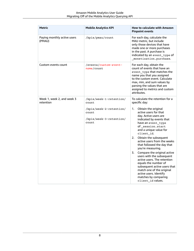| Metric                                  | <b>Mobile Analytics KPI</b>                                                                              | How to calculate with Amazon<br><b>Pinpoint events</b>                                                                                                                                                                                                                                                                                                                                                                                                                                                                                                                                                                       |
|-----------------------------------------|----------------------------------------------------------------------------------------------------------|------------------------------------------------------------------------------------------------------------------------------------------------------------------------------------------------------------------------------------------------------------------------------------------------------------------------------------------------------------------------------------------------------------------------------------------------------------------------------------------------------------------------------------------------------------------------------------------------------------------------------|
| Paying monthly active users<br>(PMAU)   | /kpis/pmau/count                                                                                         | For each day, calculate the<br>MAU metric, but include<br>only those devices that have<br>made one or more purchases<br>in the past. A purchase is<br>indicated by an event_type of<br>monetization.purchase.                                                                                                                                                                                                                                                                                                                                                                                                                |
| Custom events count                     | /events/custom-event-<br>name/count                                                                      | For each day, obtain the<br>count of events that have an<br>event_type that matches the<br>name you that you assigned<br>to the custom event. Calculate<br>max, min, and sum values by<br>parsing the values that are<br>assigned to metrics and custom<br>attributes.                                                                                                                                                                                                                                                                                                                                                       |
| Week 1, week 2, and week 3<br>retention | /kpis/week-1-retention/<br>count<br>/kpis/week-2-retention/<br>count<br>/kpis/week-3-retention/<br>count | To calculate the retention for a<br>specific day:<br>Obtain the original<br>1.<br>active users for that<br>day. Active users are<br>indicated by events that<br>have an event_type<br>of_session.start<br>and a unique value for<br>client_id.<br>2.<br>Obtain the subsequent<br>active users from the weeks<br>that followed the day that<br>you're measuring.<br>3.<br>Compare the original active<br>users with the subsequent<br>active users. The retention<br>equals the number of<br>subsequent active users that<br>match one of the original<br>active users. Identify<br>matches by comparing<br>client_id values. |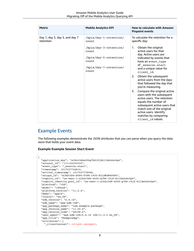| Metric                                      | <b>Mobile Analytics KPI</b>                                                                           | <b>How to calculate with Amazon</b><br><b>Pinpoint events</b>                                                                                                                                                                                                                                                                                                                                                                                                                                                                                                          |
|---------------------------------------------|-------------------------------------------------------------------------------------------------------|------------------------------------------------------------------------------------------------------------------------------------------------------------------------------------------------------------------------------------------------------------------------------------------------------------------------------------------------------------------------------------------------------------------------------------------------------------------------------------------------------------------------------------------------------------------------|
| Day 1, day 3, day 5, and day 7<br>retention | /kpis/day-1-retention/<br>count                                                                       | To calculate the retention for a<br>specific day:                                                                                                                                                                                                                                                                                                                                                                                                                                                                                                                      |
|                                             | /kpis/day-3-retention/<br>count<br>/kpis/day-5-retention/<br>count<br>/kpis/day-7-retention/<br>count | Obtain the original<br>1.<br>active users for that<br>day. Active users are<br>indicated by events that<br>have an event_type<br>of session.start<br>and a unique value for<br>client_id.<br>Obtain the subsequent<br>2.<br>active users from the days<br>that followed the day that<br>you're measuring.<br>Compare the original active<br>3.<br>users with the subsequent<br>active users. The retention<br>equals the number of<br>subsequent active users that<br>match one of the original<br>active users. Identify<br>matches by comparing<br>client_id values. |

### Example Events

The following examples demonstrate the JSON attributes that you can parse when you query the data store that holds your event data.

**Example Example Session Start Event**

```
{
  "application_key": "a1b2c3d4e5f6g7h8i9j0k1l2m3n4o5p6",
  "account_id": "111122223333",
   "event_type": "_session.start",
  "timestamp": 1517537724812,
   "arrival_timestamp": 1517537778048,
   "unique_id": "A1B2C3D4-E5F6-G7H8-I9J0-K1L2M3N4O5P6",
   "cognito_id": "us-east-1:a1b2c3d4-e5f6-g7h8-i9j0-k1l2m3n4o5p6",
   "cognito_identity_pool_id": "us-east-1:a1b2c3d4-e5f6-g7h8-i9j0-k1l2m3n4o5p6",
   "platform": "iOS",
   "model": "iPhone",
   "platform_version": "11.2.2",
   "make": "apple",
   "locale": "en_US",
   "sdk_version": "2.4.16",
   "sdk_name": "aws-sdk-iOS",
   "app_package_name": "com.example.package",
   "app_version_name": "11.02.0",
   "app_version_code": "28198.0",
  "user agent": "aws-sdk-iOS/2.4.16 iOS/11.2.2 en US",
   "app_title": "ExampleApp",
   "attributes": {
     "_clientContext": <client context>,
```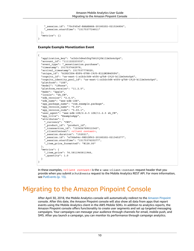```
 "_session.id": "70cf4faf-BAAABA8A-20180202-021524806",
     "_session.startTime": "1517537724811"
  },
   "metrics": {}
}
```
**Example Example Monetization Event**

```
{
   "application_key": "a1b2c3d4e5f6g7h8i9j0k1l2m3n4o5p6",
   "account_id": "111122223333",
   "event_type": "_monetization.purchase",
   "timestamp": 1517537662978,
   "arrival_timestamp": 1517537778020,
   "unique_id": "A1B2C3D4-E5F6-G7H8-I9J0-K1L2M3N4O5P6",
   "cognito_id": "us-east-1:a1b2c3d4-e5f6-g7h8-i9j0-k1l2m3n4o5p6",
  "cognito identity pool id": "us-east-1:a1b2c3d4-e5f6-q7h8-i9j0-k1l2m3n4o5p6",
   "platform": "iOS",
   "model": "iPhone",
   "platform_version": "11.2.5",
   "make": "apple",
   "locale": "zh_CN",
   "sdk_version": "2.6.5",
   "sdk_name": "aws-sdk-iOS",
   "app_package_name": "com.example.package",
  "app_version_name": "5.03",
   "app_version_code": "5.03.1",
  "user agent": "aws-sdk-iOS/2.6.5 iOS/11.2.5 zh CN",
   "app_title": "ExampleApp",
   "attributes": {
     "_currency": "CNY",
     _product_id": "product_id",
     "_transaction_id": "123456789012345",
     "_clientContext": <client context>,
     "_session.duration": "152021",
     "_session.id": "e79da94c-9BD1DF63-20180202-021345277",
     session.startTime": "1517537625277",
     "_item_price_formatted": "¥128.00"
  },
   "metrics": {
     "_item_price": 76.5811965811966,
     "_quantity": 1.0
   }
}
```
In these examples, *<client context>* is the x-amz-client-context request header that you provide when you submit a PutEvents request to the Mobile Analytics REST API. For more information, see [PutEvents \(p. 13\)](#page-15-0).

# <span id="page-12-0"></span>Migrating to the Amazon Pinpoint Console

After April 30, 2018, the Mobile Analytics console will automatically redirect to the Amazon [Pinpoint](https://console.aws.amazon.com/pinpoint) console. After this date, the Amazon Pinpoint console will also show all data from apps that report events using the Mobile Analytics client in the AWS Mobile SDKs. In addition to analytics reports, the Amazon Pinpoint console offers functionality to create user segments and set up targeted messaging campaigns. Your campaigns can message your audience through channels for email, mobile push, and SMS. After you launch a campaign, you can monitor its performance through campaign analytics.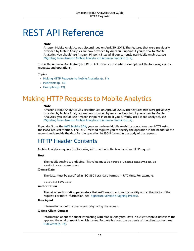# <span id="page-13-0"></span>REST API Reference

#### **Note**

Amazon Mobile Analytics was discontinued on April 30, 2018. The features that were previously provided by Mobile Analytics are now provided by Amazon Pinpoint. If you're new to Mobile Analytics, you should use Amazon Pinpoint instead. If you currently use Mobile Analytics, see [Migrating](#page-4-0) from Amazon Mobile Analytics to Amazon Pinpoint [\(p. 2\)](#page-4-0).

This is the Amazon Mobile Analytics REST API reference. It contains examples of the following events, requests, and operations.

#### **Topics**

- Making HTTP Requests to Mobile [Analytics \(p. 11\)](#page-13-1)
- [PutEvents \(p. 13\)](#page-15-0)
- [Examples \(p. 19\)](#page-21-0)

# <span id="page-13-1"></span>Making HTTP Requests to Mobile Analytics

#### **Note**

Amazon Mobile Analytics was discontinued on April 30, 2018. The features that were previously provided by Mobile Analytics are now provided by Amazon Pinpoint. If you're new to Mobile Analytics, you should use Amazon Pinpoint instead. If you currently use Mobile Analytics, see [Migrating](#page-4-0) from Amazon Mobile Analytics to Amazon Pinpoint [\(p. 2\)](#page-4-0).

If you don't use the AWS [Mobile](https://aws.amazon.com/mobile/sdk) SDK, you can perform Mobile Analytics operations over HTTP using the POST request method. The POST method requires you to specify the operation in the header of the request and provide the data for the operation in JSON format in the body of the request.

### <span id="page-13-2"></span>HTTP Header Contents

Mobile Analytics requires the following information in the header of an HTTP request:

#### **Host**

The Mobile Analytics endpoint. This value must be https://mobileanalytics.useast-1.amazonaws.com

### **X-Amz-Date**

The date. Must be specified in ISO 8601 standard format, in UTC time. For example:

20130315T092054Z

#### **Authorization**

The set of authorization parameters that AWS uses to ensure the validity and authenticity of the request. For more information, see [Signature](http://docs.aws.amazon.com/general/latest/gr/signature-version-4.html) Version 4 Signing Process.

#### **User Agent**

Information about the user agent originating the request.

### **X-Amz-Client-Context**

Information about the client interacting with Mobile Analytics. Data in a client context describes the app and the environment in which it runs. For details about the contents of the client context, see [PutEvents \(p. 13\).](#page-15-2)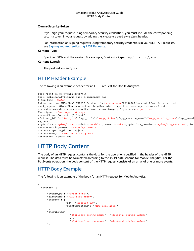#### **X-Amz-Security-Token**

If you sign your request using temporary security credentials, you must include the corresponding security token in your request by adding the X-Amz-Security-Token header.

For information on signing requests using temporary security credentials in your REST API requests, see Signing and [Authenticating](https://docs.aws.amazon.com/AmazonS3/latest/dev/RESTAuthentication.html) REST Requests.

#### **Content-Type**

Specifies JSON and the version. For example, Content-Type: application/json

#### **Content-Length**

The payload size in bytes.

### HTTP Header Example

The following is an example header for an HTTP request for Mobile Analytics.

```
POST /2014-06-05/events HTTP/1.1
Host: mobileanalytics.us-east-1.amazonaws.com
X-Amz-Date: <Date>
Authorization: AWS4-HMAC-SHA256 Credential=<access_key>/20140709/us-east-1/mobileanalytics/
aws4_request, SignedHeaders=content-length;content-type;host;user-agent;x-amz-client-
context;x-amz-date;x-amz-security-token;x-amz-target, Signature=<signature>
User-Agent: <User agent string>
x-amz-Client-Context: {"client":
{"client_id":"<client_id>","app_title":"<app_title>","app_version_name":"<app_version_name>","app_versi
{},"env":
{"platform":"<platform>","model":"<model>","make":"<make>","platform_version":"<platform_version>","locale":"<locale>"}}
x-amz-security-token: <Security token>
Content-Type: application/json
Content-Length: <Payload size bytes>
Connection: Keep-Alive
```
### <span id="page-14-0"></span>HTTP Body Content

The body of an HTTP request contains the data for the operation specified in the header of the HTTP request. The data must be formatted according to the JSON data schema for Mobile Analytics. For the PutEvents operation, the body content of the HTTP request consists of an array of one or more events.

### HTTP Body Example

The following is an example of the body for an HTTP request for Mobile Analytics.

```
{
   "events": [
    {
       "eventType": "<Event type>",
       "timestamp": "<ISO 8601 date>", 
       "session": {
                   "id": "<Session id>",
                   "startTimestamp": "<ISO 8601 date>"
       },
       "attributes": {
                      "<Optional string name>": "<Optional string value>",
 ...
                      "<Optional string name>": "<Optional string value>"
       },
```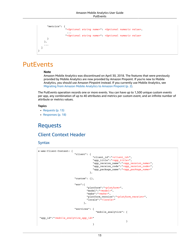```
 "metrics": {
                  "<Optional string name>": <Optional numeric value>,
 ...
                  "<Optional string name>": <Optional numeric value>
      }
    },
    ...
  ]
}
```
# <span id="page-15-0"></span>**PutEvents**

#### **Note**

Amazon Mobile Analytics was discontinued on April 30, 2018. The features that were previously provided by Mobile Analytics are now provided by Amazon Pinpoint. If you're new to Mobile Analytics, you should use Amazon Pinpoint instead. If you currently use Mobile Analytics, see [Migrating](#page-4-0) from Amazon Mobile Analytics to Amazon Pinpoint [\(p. 2\)](#page-4-0).

The PutEvents operation records one or more events. You can have up to 1,500 unique custom events per app, any combination of up to 40 attributes and metrics per custom event, and an infinite number of attribute or metrics values.

### **Topics**

- [Requests \(p. 13\)](#page-15-1)
- [Responses \(p. 18\)](#page-20-0)

## <span id="page-15-1"></span>Requests

### <span id="page-15-2"></span>Client Context Header

### **Syntax**

```
x-amz-Client-Context: {
                   "client": {
                             "client_id":"<client_id>",
                             "app_title":"<app_title>",
                             "app_version_name":"<app_version_name>",
                             "app_version_code":"<app_version_code>",
                           "app_package_name":"<app_package_name>"
\},
                   "custom": {},
                   "env":{
                          "platform":"<platform>",
                          "model":"<model>",
                          "make":"<make>",
                          "platform_version":"<platform_version>",
                          "locale":"<locale>"
}, "services": { 
                              "mobile_analytics": {
 "app_id":"<mobile_analytics_app_id>"
 }
 }
```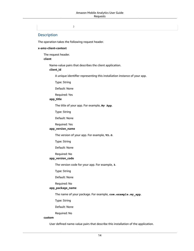}

### **Description**

The operation takes the following request header.

#### **x-amz-client-context**

The request header.

### **client**

Name-value pairs that describes the client application.

### **client\_id**

A unique identifier representing this installation instance of your app.

Type: String

Default: None

Required: Yes

### **app\_title**

The title of your app. For example, **My App**.

Type: String

Default: None

Required: Yes

### **app\_version\_name**

The version of your app. For example, **V2.0**.

Type: String

Default: None

Required: No

### **app\_version\_code**

The version code for your app. For example, **3**.

Type: String

Default: None

Required: No

### **app\_package\_name**

The name of your package. For example, **com.example.my\_app**.

Type: String

Default: None

Required: No

### **custom**

User defined name-value pairs that describe this installation of the application.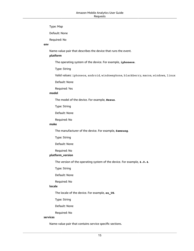Type: Map

Default: None

Required: No

### **env**

Name-value pair that describes the device that runs the event.

### **platform**

The operating system of the device. For example, **iphoneos**.

Type: String

Valid values: iphoneos, android, windowsphone, blackberry, macos, windows, linux

Default: None

Required: Yes

### **model**

The model of the device. For example, **Nexus**.

Type: String

Default: None

Required: No

### **make**

The manufacturer of the device. For example, **Samsung**.

Type: String

Default: None

Required: No

### **platform\_version**

The version of the operating system of the device. For example, **4.0.4**.

Type: String

Default: None

Required: No

### **locale**

The locale of the device. For example, **en\_US**.

Type: String

Default: None

Required: No

#### **services**

Name-value pair that contains service specific sections.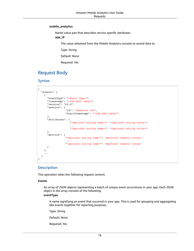### **mobile\_analytics**

Name-value pair that describes service specific attributes.

**app\_id**

The value obtained from the Mobile Analytics console to record data to.

Type: String

Default: None

Required: Yes

### Request Body

### **Syntax**

```
{
   "events": [
    {
      "eventType": "<Event type>",
      "timestamp": "<ISO 8601 date>",
      "version": "v2.0", 
      "session": {
                   "id": "<Session id>",
                   "startTimestamp": "<ISO 8601 date>"
      },
      "attributes": {
                      "<Optional string name>": "<Optional string value>",
 ...
                      "<Optional string name>": "<Optional string value>"
      },
      "metrics": {
                   "<Optional string name>": <Optional numeric value>,
 ...
                   "<Optional string name>": <Optional numeric value>
      }
    },
     ...
  ]
}
```
### **Description**

This operation takes the following request content.

#### **Events**

An array of JSON objects representing a batch of unique event occurrences in your app. Each JSON object in the array consists of the following:

### **eventType**

A name signifying an event that occurred in your app. This is used for grouping and aggregating like events together for reporting purposes.

Type: String

Default: None

Required: Yes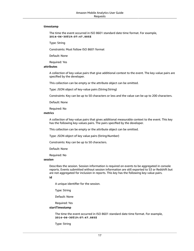#### **timestamp**

The time the event occurred in ISO 8601 standard date time format. For example, **2014-06-30T19:07:47.885Z**

Type: String

Constraints: Must follow ISO 8601 format

Default: None

Required: Yes

#### **attributes**

A collection of key-value pairs that give additional context to the event. The key-value pairs are specified by the developer.

This collection can be empty or the attribute object can be omitted.

Type: JSON object of key-value pairs (String:String)

Constraints: Key can be up to 50 characters or less and the value can be up to 200 characters.

Default: None

Required: No

### **metrics**

A collection of key-value pairs that gives additional measurable context to the event. This key has the following key-values pairs. The pairs specified by the developer.

This collection can be empty or the attribute object can be omitted.

Type: JSON object of key value pairs (String:Number)

Constraints: Key can be up to 50 characters.

Default: None

Required: No

#### **session**

Describes the session. Session information is required on events to be aggregated in console reports. Events submitted without session information are still exported to S3 or Redshift but are not aggregated for inclusion in reports. This key has the following key-value pairs.

**id**

A unique identifier for the session.

Type: String

Default: None

Required: Yes

#### **startTimestamp**

The time the event occurred in ISO 8601 standard date time format. For example, **2014-06-30T19:07:47.885Z**

Type: String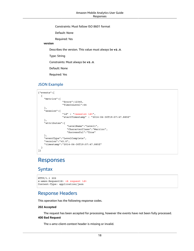Constraints: Must follow ISO 8601 format

Default: None

Required: Yes

### **version**

Describes the version. This value must always be **v2.0**.

Type: String

Constraints: Must always be **v2.0**.

Default: None

Required: Yes

### JSON Example

```
{"events":[
  {
     "metrics":{
                  "Score":12345,
                  "TimeInLevel":64
     },
     "session":{
                  "id" : "<session id>",
                  "startTimestamp" : "2014-06-30T19:07:47.885Z"
     },
     "attributes":{
                     "LevelName":"Level1",
                     "CharacterClass":"Warrior",
                     "Successful":"True"
     },
     "eventType":"LevelComplete",
     "version":"v2.0",
     "timestamp":"2014-06-30T19:07:47.885Z"
  }
]}
```
### <span id="page-20-0"></span>Responses

### **Syntax**

```
HTTP/1.1 202
x-amzn-RequestId: <A request id>
Content-Type: application/json
```
### Response Headers

This operation has the following response codes.

### **202 Accepted**

The request has been accepted for processing, however the events have not been fully processed. **400 Bad Request**

The x-amz-client-context header is missing or invalid.